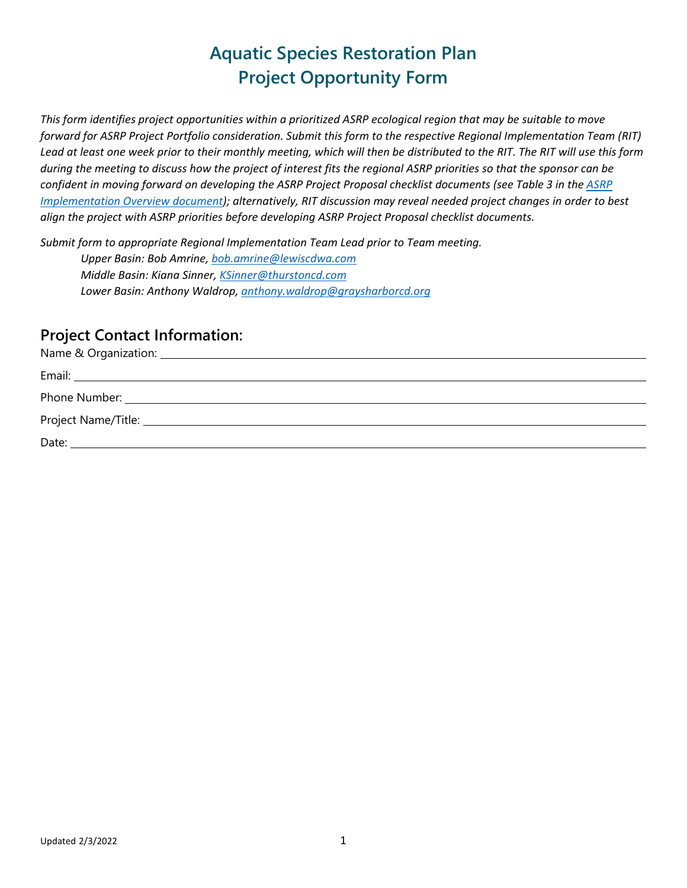# **Aquatic Species Restoration Plan Project Opportunity Form**

*This form identifies project opportunities within a prioritized ASRP ecological region that may be suitable to move forward for ASRP Project Portfolio consideration. Submit this form to the respective Regional Implementation Team (RIT) Lead at least one week prior to their monthly meeting, which will then be distributed to the RIT. The RIT will use this form during the meeting to discuss how the project of interest fits the regional ASRP priorities so that the sponsor can be confident in moving forward on developing the ASRP Project Proposal checklist documents (see Table 3 in the [ASRP](https://www.chehalisbasinstrategy.com/wp-content/uploads/2021/10/ASRP-Implementation-Structure-Overview-2021-2023_Final_Tagged.pdf)  [Implementation Overview document\)](https://www.chehalisbasinstrategy.com/wp-content/uploads/2021/10/ASRP-Implementation-Structure-Overview-2021-2023_Final_Tagged.pdf); alternatively, RIT discussion may reveal needed project changes in order to best align the project with ASRP priorities before developing ASRP Project Proposal checklist documents.*

*Submit form to appropriate Regional Implementation Team Lead prior to Team meeting. Upper Basin: Bob Amrine[, bob.amrine@lewiscdwa.com](mailto:bob.amrine@lewiscdwa.com)  Middle Basin: Kiana Sinner, [KSinner@thurstoncd.com](mailto:KSinner@thurstoncd.com)  Lower Basin: Anthony Waldrop, [anthony.waldrop@graysharborcd.org](mailto:anthony.waldrop@graysharborcd.org)*

## **Project Contact Information:**

Name & Organization:

| Phone Number: <u>with the contract of the contract of the contract of the contract of the contract of the contract of the contract of the contract of the contract of the contract of the contract of the contract of the contra</u> |
|--------------------------------------------------------------------------------------------------------------------------------------------------------------------------------------------------------------------------------------|
|                                                                                                                                                                                                                                      |
|                                                                                                                                                                                                                                      |
|                                                                                                                                                                                                                                      |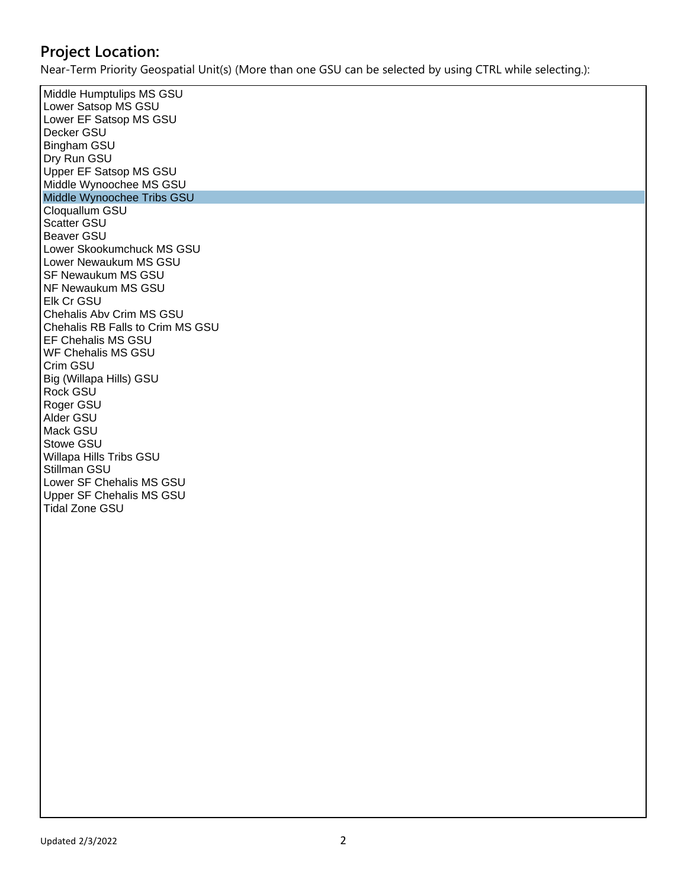# **Project Location:**

Near-Term Priority Geospatial Unit(s) (More than one GSU can be selected by using CTRL while selecting.):

Middle Humptulips MS GSU Lower Satsop MS GSU Lower EF Satsop MS GSU Decker GSU Bingham GSU Dry Run GSU Upper EF Satsop MS GSU Middle Wynoochee MS GSU Middle Wynoochee Tribs GSU Cloquallum GSU Scatter GSU Beaver GSU Lower Skookumchuck MS GSU Lower Newaukum MS GSU SF Newaukum MS GSU NF Newaukum MS GSU Elk Cr GSU Chehalis Abv Crim MS GSU Chehalis RB Falls to Crim MS GSU EF Chehalis MS GSU WF Chehalis MS GSU Crim GSU Big (Willapa Hills) GSU Rock GSU Roger GSU Alder GSU Mack GSU Stowe GSU Willapa Hills Tribs GSU Stillman GSU Lower SF Chehalis MS GSU Upper SF Chehalis MS GSU Tidal Zone GSU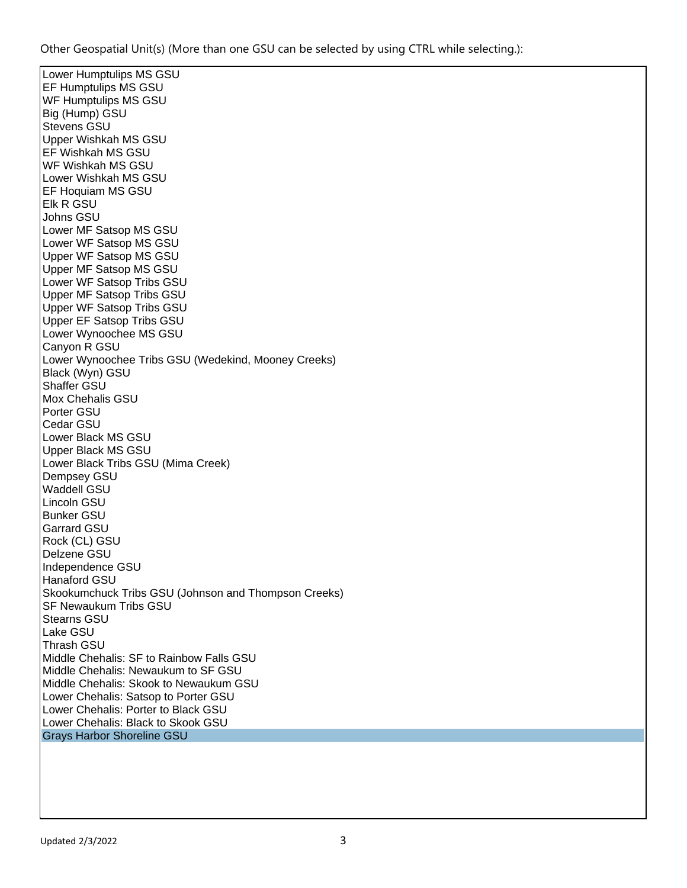Other Geospatial Unit(s) (More than one GSU can be selected by using CTRL while selecting.):

Lower Humptulips MS GSU EF Humptulips MS GSU WF Humptulips MS GSU Big (Hump) GSU Stevens GSU Upper Wishkah MS GSU EF Wishkah MS GSU WF Wishkah MS GSU Lower Wishkah MS GSU EF Hoquiam MS GSU Elk R GSU Johns GSU Lower MF Satsop MS GSU Lower WF Satsop MS GSU Upper WF Satsop MS GSU Upper MF Satsop MS GSU Lower WF Satsop Tribs GSU Upper MF Satsop Tribs GSU Upper WF Satsop Tribs GSU Upper EF Satsop Tribs GSU Lower Wynoochee MS GSU Canyon R GSU Lower Wynoochee Tribs GSU (Wedekind, Mooney Creeks) Black (Wyn) GSU Shaffer GSU Mox Chehalis GSU Porter GSU Cedar GSU Lower Black MS GSU Upper Black MS GSU Lower Black Tribs GSU (Mima Creek) Dempsey GSU Waddell GSU Lincoln GSU Bunker GSU Garrard GSU Rock (CL) GSU Delzene GSU Independence GSU Hanaford GSU Skookumchuck Tribs GSU (Johnson and Thompson Creeks) SF Newaukum Tribs GSU Stearns GSU Lake GSU Thrash GSU Middle Chehalis: SF to Rainbow Falls GSU Middle Chehalis: Newaukum to SF GSU Middle Chehalis: Skook to Newaukum GSU Lower Chehalis: Satsop to Porter GSU Lower Chehalis: Porter to Black GSU Lower Chehalis: Black to Skook GSU Grays Harbor Shoreline GSU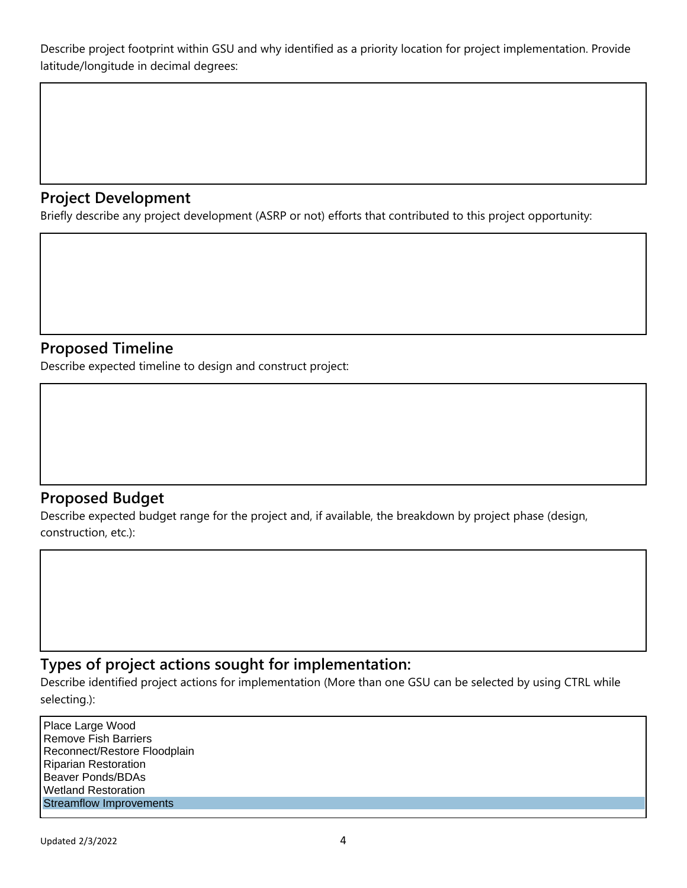Describe project footprint within GSU and why identified as a priority location for project implementation. Provide latitude/longitude in decimal degrees:

# **Project Development**

Briefly describe any project development (ASRP or not) efforts that contributed to this project opportunity:

#### **Proposed Timeline**

Describe expected timeline to design and construct project:

# **Proposed Budget**

Describe expected budget range for the project and, if available, the breakdown by project phase (design, construction, etc.):

## **Types of project actions sought for implementation:**

Describe identified project actions for implementation (More than one GSU can be selected by using CTRL while selecting.):

Place Large Wood Remove Fish Barriers Reconnect/Restore Floodplain Riparian Restoration Beaver Ponds/BDAs Wetland Restoration Streamflow Improvements